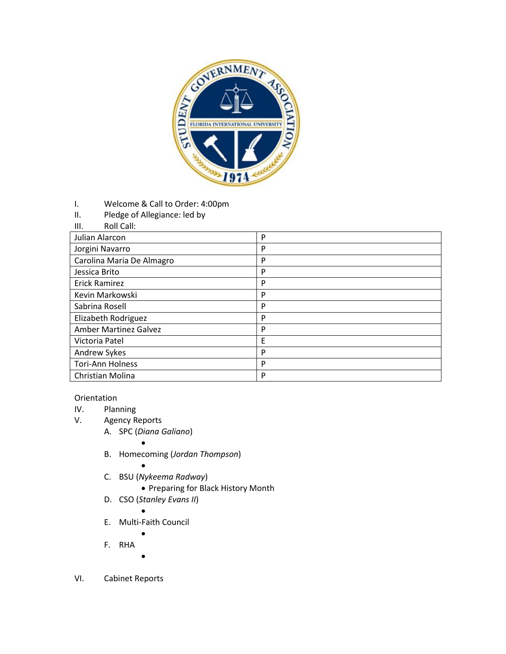

- I. Welcome & Call to Order: 4:00pm
- II. Pledge of Allegiance: led by
- III. Roll Call:

| Julian Alarcon               | P |
|------------------------------|---|
| Jorgini Navarro              | D |
| Carolina Maria De Almagro    | P |
| Jessica Brito                | P |
| <b>Erick Ramirez</b>         | P |
| Kevin Markowski              | P |
| Sabrina Rosell               | P |
| Elizabeth Rodriguez          | D |
| <b>Amber Martinez Galvez</b> | D |
| Victoria Patel               | F |
| Andrew Sykes                 | P |
| <b>Tori-Ann Holness</b>      | P |
| Christian Molina             | P |

## Orientation

- IV. Planning<br>V. Agency R
	- Agency Reports
		- A. SPC (*Diana Galiano*)
			- $\bullet$
		- B. Homecoming (*Jordan Thompson*)
			- $\bullet$
		- C. BSU (*Nykeema Radway*)
			- Preparing for Black History Month
		- D. CSO (*Stanley Evans II*)
			- $\bullet$
		- E. Multi-Faith Council  $\bullet$ 
			-
		- F. RHA
			- $\bullet$
- VI. Cabinet Reports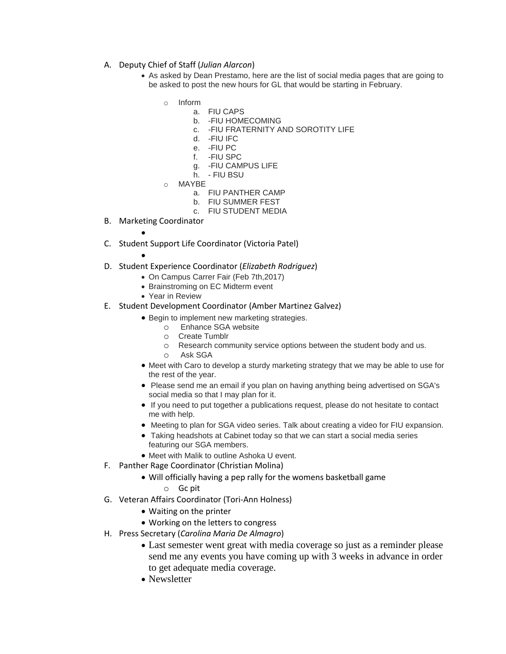- A. Deputy Chief of Staff (*Julian Alarcon*)
	- As asked by Dean Prestamo, here are the list of social media pages that are going to be asked to post the new hours for GL that would be starting in February.
		- o Inform
			- a. FIU CAPS
				- b. -FIU HOMECOMING
				- c. -FIU FRATERNITY AND SOROTITY LIFE
				- d. -FIU IFC
				- e. -FIU PC
				- f. -FIU SPC
				- g. -FIU CAMPUS LIFE
				- h. FIU BSU
		- o MAYBE
			- a. FIU PANTHER CAMP
			- b. FIU SUMMER FEST
			- c. FIU STUDENT MEDIA
- B. Marketing Coordinator

 $\bullet$ 

 $\bullet$ 

- C. Student Support Life Coordinator (Victoria Patel)
- D. Student Experience Coordinator (*Elizabeth Rodriguez*)
	- On Campus Carrer Fair (Feb 7th,2017)
	- Brainstroming on EC Midterm event
	- Year in Review
- E. Student Development Coordinator (Amber Martinez Galvez)
	- **Begin to implement new marketing strategies.** 
		- o Enhance SGA website
		- o Create Tumblr
		- o Research community service options between the student body and us.
		- o Ask SGA
	- Meet with Caro to develop a sturdy marketing strategy that we may be able to use for the rest of the year.
	- Please send me an email if you plan on having anything being advertised on SGA's social media so that I may plan for it.
	- If you need to put together a publications request, please do not hesitate to contact me with help.
	- Meeting to plan for SGA video series. Talk about creating a video for FIU expansion.
	- Taking headshots at Cabinet today so that we can start a social media series featuring our SGA members.
	- Meet with Malik to outline Ashoka U event.
- F. Panther Rage Coordinator (Christian Molina)
	- Will officially having a pep rally for the womens basketball game
		- o Gc pit
- G. Veteran Affairs Coordinator (Tori-Ann Holness)
	- Waiting on the printer
	- Working on the letters to congress
- H. Press Secretary (*Carolina Maria De Almagro*)
	- Last semester went great with media coverage so just as a reminder please send me any events you have coming up with 3 weeks in advance in order to get adequate media coverage.
	- Newsletter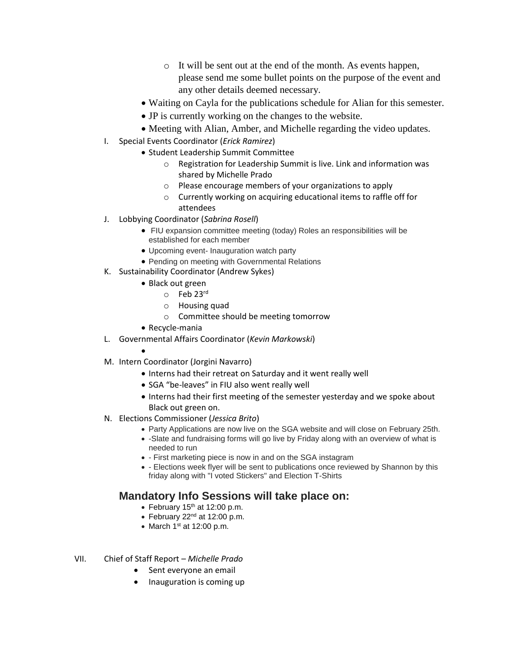- o It will be sent out at the end of the month. As events happen, please send me some bullet points on the purpose of the event and any other details deemed necessary.
- Waiting on Cayla for the publications schedule for Alian for this semester.
- JP is currently working on the changes to the website.
- Meeting with Alian, Amber, and Michelle regarding the video updates.
- I. Special Events Coordinator (*Erick Ramirez*)
	- Student Leadership Summit Committee
		- o Registration for Leadership Summit is live. Link and information was shared by Michelle Prado
		- o Please encourage members of your organizations to apply
		- o Currently working on acquiring educational items to raffle off for attendees
- J. Lobbying Coordinator (*Sabrina Rosell*)
	- FIU expansion committee meeting (today) Roles an responsibilities will be established for each member
	- Upcoming event- Inauguration watch party
	- Pending on meeting with Governmental Relations
- K. Sustainability Coordinator (Andrew Sykes)
	- Black out green
		- $\circ$  Feb 23rd
		- o Housing quad
		- o Committee should be meeting tomorrow
	- Recycle-mania

 $\bullet$ 

- L. Governmental Affairs Coordinator (*Kevin Markowski*)
- M. Intern Coordinator (Jorgini Navarro)
	- Interns had their retreat on Saturday and it went really well
	- SGA "be-leaves" in FIU also went really well
	- Interns had their first meeting of the semester yesterday and we spoke about Black out green on.
- N. Elections Commissioner (*Jessica Brito*)
	- Party Applications are now live on the SGA website and will close on February 25th.
	- -Slate and fundraising forms will go live by Friday along with an overview of what is needed to run
	- First marketing piece is now in and on the SGA instagram
	- Elections week flyer will be sent to publications once reviewed by Shannon by this friday along with "I voted Stickers" and Election T-Shirts

## **Mandatory Info Sessions will take place on:**

- February  $15<sup>th</sup>$  at 12:00 p.m.
- $\bullet$  February 22<sup>nd</sup> at 12:00 p.m.
- $\bullet$  March 1<sup>st</sup> at 12:00 p.m.
- VII. Chief of Staff Report *Michelle Prado*
	- Sent everyone an email
	- Inauguration is coming up